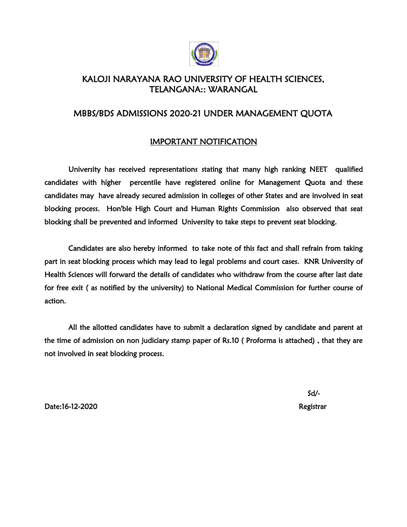

## KALOJI NARAYANA RAO UNIVERSITY OF HEALTH SCIENCES, TELANGANA:: WARANGAL

### MBBS/BDS ADMISSIONS 2020-21 UNDER MANAGEMENT QUOTA

### IMPORTANT NOTIFICATION

 University has received representations stating that many high ranking NEET qualified candidates with higher percentile have registered online for Management Quota and these candidates may have already secured admission in colleges of other States and are involved in seat blocking process. Hon'ble High Court and Human Rights Commission also observed that seat blocking shall be prevented and informed University to take steps to prevent seat blocking.

 Candidates are also hereby informed to take note of this fact and shall refrain from taking part in seat blocking process which may lead to legal problems and court cases. KNR University of Health Sciences will forward the details of candidates who withdraw from the course after last date for free exit ( as notified by the university) to National Medical Commission for further course of action.

 All the allotted candidates have to submit a declaration signed by candidate and parent at the time of admission on non judiciary stamp paper of Rs.10 ( Proforma is attached) , that they are not involved in seat blocking process.

 $Sd$ 

Date:16-12-2020 Registrar